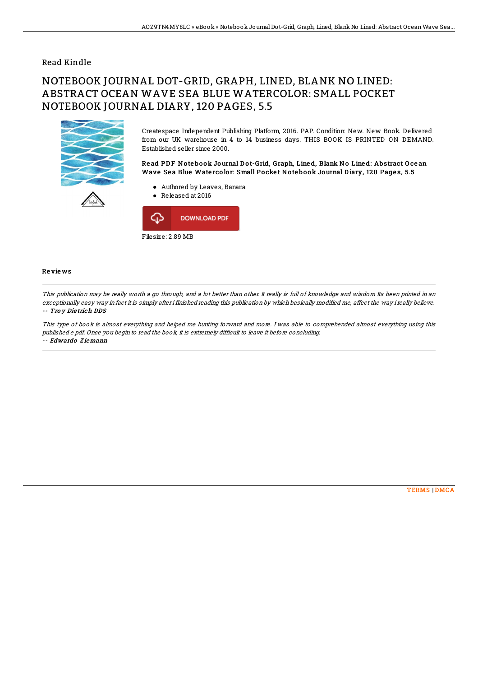## Read Kindle

## NOTEBOOK JOURNAL DOT-GRID, GRAPH, LINED, BLANK NO LINED: ABSTRACT OCEAN WAVE SEA BLUE WATERCOLOR: SMALL POCKET NOTEBOOK JOURNAL DIARY, 120 PAGES, 5.5



Createspace Independent Publishing Platform, 2016. PAP. Condition: New. New Book. Delivered from our UK warehouse in 4 to 14 business days. THIS BOOK IS PRINTED ON DEMAND. Established seller since 2000.

Read PDF Notebook Journal Dot-Grid, Graph, Lined, Blank No Lined: Abstract Ocean Wave Sea Blue Watercolor: Small Pocket Notebook Journal Diary, 120 Pages, 5.5

- Authored by Leaves, Banana
- Released at 2016



## Re vie ws

This publication may be really worth <sup>a</sup> go through, and <sup>a</sup> lot better than other. It really is full of knowledge and wisdom Its been printed in an exceptionally easy way in fact it is simply after i finished reading this publication by which basically modified me, affect the way i really believe. -- Tro y Die trich DDS

This type of book is almost everything and helped me hunting forward and more. I was able to comprehended almost everything using this published <sup>e</sup> pdf. Once you begin to read the book, it is extremely difficult to leave it before concluding. -- Edwardo Z iemann